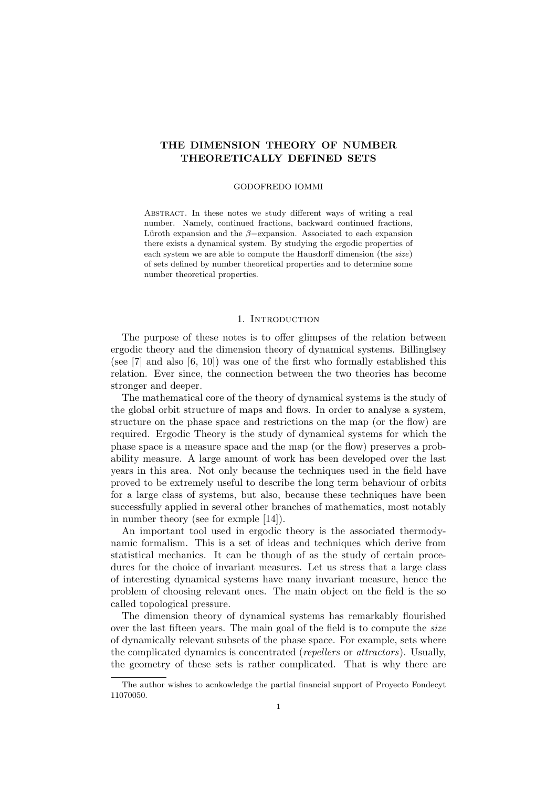# THE DIMENSION THEORY OF NUMBER THEORETICALLY DEFINED SETS

### GODOFREDO IOMMI

ABSTRACT. In these notes we study different ways of writing a real number. Namely, continued fractions, backward continued fractions, Lüroth expansion and the  $\beta$ -expansion. Associated to each expansion there exists a dynamical system. By studying the ergodic properties of each system we are able to compute the Hausdorff dimension (the size) of sets defined by number theoretical properties and to determine some number theoretical properties.

### 1. INTRODUCTION

The purpose of these notes is to offer glimpses of the relation between ergodic theory and the dimension theory of dynamical systems. Billinglsey (see [7] and also [6, 10]) was one of the first who formally established this relation. Ever since, the connection between the two theories has become stronger and deeper.

The mathematical core of the theory of dynamical systems is the study of the global orbit structure of maps and flows. In order to analyse a system, structure on the phase space and restrictions on the map (or the flow) are required. Ergodic Theory is the study of dynamical systems for which the phase space is a measure space and the map (or the flow) preserves a probability measure. A large amount of work has been developed over the last years in this area. Not only because the techniques used in the field have proved to be extremely useful to describe the long term behaviour of orbits for a large class of systems, but also, because these techniques have been successfully applied in several other branches of mathematics, most notably in number theory (see for exmple [14]).

An important tool used in ergodic theory is the associated thermodynamic formalism. This is a set of ideas and techniques which derive from statistical mechanics. It can be though of as the study of certain procedures for the choice of invariant measures. Let us stress that a large class of interesting dynamical systems have many invariant measure, hence the problem of choosing relevant ones. The main object on the field is the so called topological pressure.

The dimension theory of dynamical systems has remarkably flourished over the last fifteen years. The main goal of the field is to compute the size of dynamically relevant subsets of the phase space. For example, sets where the complicated dynamics is concentrated (repellers or attractors). Usually, the geometry of these sets is rather complicated. That is why there are

The author wishes to acnkowledge the partial financial support of Proyecto Fondecyt 11070050.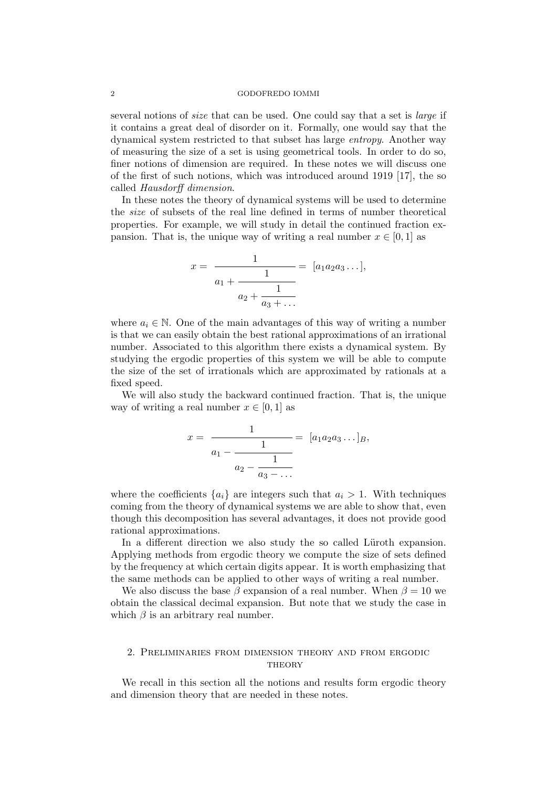several notions of size that can be used. One could say that a set is large if it contains a great deal of disorder on it. Formally, one would say that the dynamical system restricted to that subset has large entropy. Another way of measuring the size of a set is using geometrical tools. In order to do so, finer notions of dimension are required. In these notes we will discuss one of the first of such notions, which was introduced around 1919 [17], the so called Hausdorff dimension.

In these notes the theory of dynamical systems will be used to determine the size of subsets of the real line defined in terms of number theoretical properties. For example, we will study in detail the continued fraction expansion. That is, the unique way of writing a real number  $x \in [0, 1]$  as

$$
x = \frac{1}{a_1 + \frac{1}{a_2 + \frac{1}{a_3 + \dots}}} = [a_1 a_2 a_3 \dots],
$$

where  $a_i \in \mathbb{N}$ . One of the main advantages of this way of writing a number is that we can easily obtain the best rational approximations of an irrational number. Associated to this algorithm there exists a dynamical system. By studying the ergodic properties of this system we will be able to compute the size of the set of irrationals which are approximated by rationals at a fixed speed.

We will also study the backward continued fraction. That is, the unique way of writing a real number  $x \in [0, 1]$  as

$$
x = \frac{1}{a_1 - \frac{1}{a_2 - \frac{1}{a_3 - \dots}}} = [a_1 a_2 a_3 \dots]_B,
$$

where the coefficients  $\{a_i\}$  are integers such that  $a_i > 1$ . With techniques coming from the theory of dynamical systems we are able to show that, even though this decomposition has several advantages, it does not provide good rational approximations.

In a different direction we also study the so called Lüroth expansion. Applying methods from ergodic theory we compute the size of sets defined by the frequency at which certain digits appear. It is worth emphasizing that the same methods can be applied to other ways of writing a real number.

We also discuss the base  $\beta$  expansion of a real number. When  $\beta = 10$  we obtain the classical decimal expansion. But note that we study the case in which  $\beta$  is an arbitrary real number.

# 2. Preliminaries from dimension theory and from ergodic THEORY

We recall in this section all the notions and results form ergodic theory and dimension theory that are needed in these notes.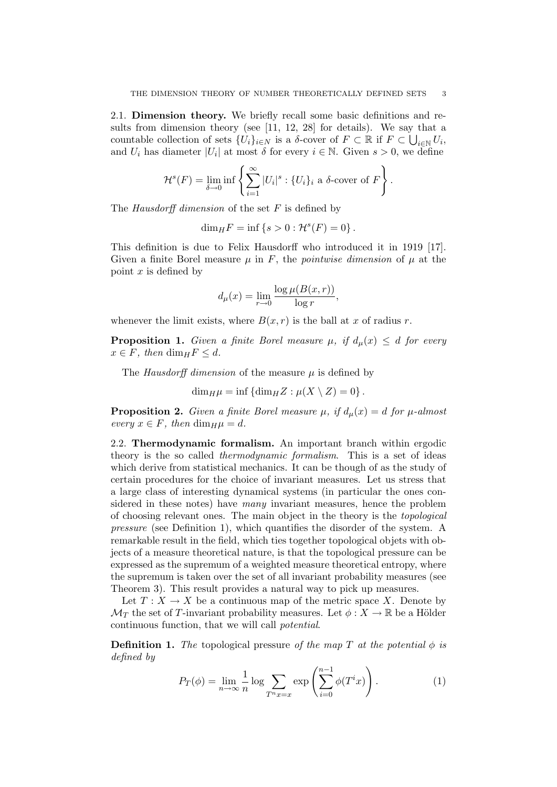2.1. Dimension theory. We briefly recall some basic definitions and results from dimension theory (see [11, 12, 28] for details). We say that a countable collection of sets  $\{U_i\}_{i\in N}$  is a  $\delta$ -cover of  $F \subset \mathbb{R}$  if  $F \subset \bigcup_{i\in \mathbb{N}} U_i$ , and  $U_i$  has diameter  $|U_i|$  at most  $\delta$  for every  $i \in \mathbb{N}$ . Given  $s > 0$ , we define

$$
\mathcal{H}^{s}(F) = \lim_{\delta \to 0} \inf \left\{ \sum_{i=1}^{\infty} |U_i|^s : \{U_i\}_i \text{ a } \delta \text{-cover of } F \right\}.
$$

The Hausdorff dimension of the set  $F$  is defined by

$$
\dim_H F = \inf \{ s > 0 : \mathcal{H}^s(F) = 0 \}.
$$

This definition is due to Felix Hausdorff who introduced it in 1919 [17]. Given a finite Borel measure  $\mu$  in F, the *pointwise dimension* of  $\mu$  at the point  $x$  is defined by

$$
d_{\mu}(x) = \lim_{r \to 0} \frac{\log \mu(B(x, r))}{\log r},
$$

whenever the limit exists, where  $B(x, r)$  is the ball at x of radius r.

**Proposition 1.** Given a finite Borel measure  $\mu$ , if  $d_{\mu}(x) \leq d$  for every  $x \in F$ , then  $\dim_H F \leq d$ .

The Hausdorff dimension of the measure  $\mu$  is defined by

$$
\dim_H \mu = \inf \left\{ \dim_H Z : \mu(X \setminus Z) = 0 \right\}.
$$

**Proposition 2.** Given a finite Borel measure  $\mu$ , if  $d_{\mu}(x) = d$  for  $\mu$ -almost every  $x \in F$ , then  $\dim_H \mu = d$ .

2.2. Thermodynamic formalism. An important branch within ergodic theory is the so called thermodynamic formalism. This is a set of ideas which derive from statistical mechanics. It can be though of as the study of certain procedures for the choice of invariant measures. Let us stress that a large class of interesting dynamical systems (in particular the ones considered in these notes) have many invariant measures, hence the problem of choosing relevant ones. The main object in the theory is the topological pressure (see Definition 1), which quantifies the disorder of the system. A remarkable result in the field, which ties together topological objets with objects of a measure theoretical nature, is that the topological pressure can be expressed as the supremum of a weighted measure theoretical entropy, where the supremum is taken over the set of all invariant probability measures (see Theorem 3). This result provides a natural way to pick up measures.

Let  $T: X \to X$  be a continuous map of the metric space X. Denote by  $\mathcal{M}_T$  the set of T-invariant probability measures. Let  $\phi: X \to \mathbb{R}$  be a Hölder continuous function, that we will call potential.

**Definition 1.** The topological pressure of the map T at the potential  $\phi$  is defined by

$$
P_T(\phi) = \lim_{n \to \infty} \frac{1}{n} \log \sum_{T^n x = x} \exp \left( \sum_{i=0}^{n-1} \phi(T^i x) \right). \tag{1}
$$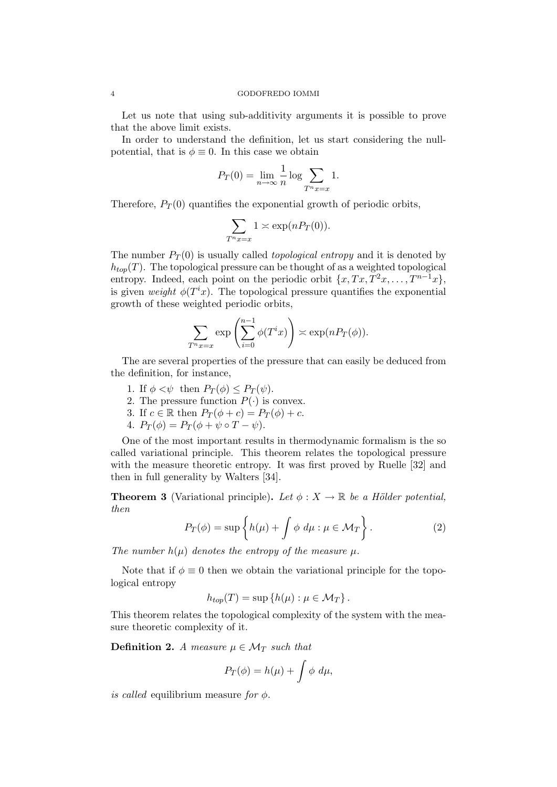Let us note that using sub-additivity arguments it is possible to prove that the above limit exists.

In order to understand the definition, let us start considering the nullpotential, that is  $\phi \equiv 0$ . In this case we obtain

$$
P_T(0) = \lim_{n \to \infty} \frac{1}{n} \log \sum_{T^n x = x} 1.
$$

Therefore,  $P_T(0)$  quantifies the exponential growth of periodic orbits,

$$
\sum_{T^n x = x} 1 \asymp \exp(n P_T(0)).
$$

The number  $P_T(0)$  is usually called *topological entropy* and it is denoted by  $h_{top}(T)$ . The topological pressure can be thought of as a weighted topological entropy. Indeed, each point on the periodic orbit  $\{x, Tx, T^2x, \ldots, T^{n-1}x\}$ , is given weight  $\phi(T^ix)$ . The topological pressure quantifies the exponential growth of these weighted periodic orbits,

$$
\sum_{T^n x = x} \exp\left(\sum_{i=0}^{n-1} \phi(T^i x)\right) \asymp \exp(n P_T(\phi)).
$$

The are several properties of the pressure that can easily be deduced from the definition, for instance,

- 1. If  $\phi \leq \psi$  then  $P_T(\phi) \leq P_T(\psi)$ .
- 2. The pressure function  $P(\cdot)$  is convex.
- 3. If  $c \in \mathbb{R}$  then  $P_T(\phi + c) = P_T(\phi) + c$ .
- 4.  $P_T(\phi) = P_T(\phi + \psi \circ T \psi)$ .

One of the most important results in thermodynamic formalism is the so called variational principle. This theorem relates the topological pressure with the measure theoretic entropy. It was first proved by Ruelle [32] and then in full generality by Walters [34].

**Theorem 3** (Variational principle). Let  $\phi: X \to \mathbb{R}$  be a Hölder potential, then

$$
P_T(\phi) = \sup \left\{ h(\mu) + \int \phi \, d\mu : \mu \in \mathcal{M}_T \right\}.
$$
 (2)

The number  $h(\mu)$  denotes the entropy of the measure  $\mu$ .

Note that if  $\phi \equiv 0$  then we obtain the variational principle for the topological entropy

 $h_{top}(T) = \sup \{h(\mu) : \mu \in \mathcal{M}_T\}.$ 

This theorem relates the topological complexity of the system with the measure theoretic complexity of it.

**Definition 2.** A measure  $\mu \in \mathcal{M}_T$  such that

$$
P_T(\phi) = h(\mu) + \int \phi \ d\mu,
$$

is called equilibrium measure for  $\phi$ .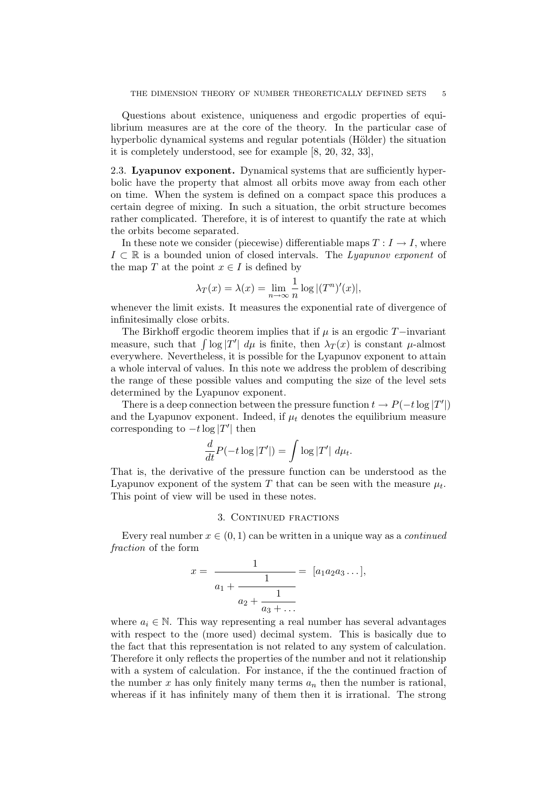Questions about existence, uniqueness and ergodic properties of equilibrium measures are at the core of the theory. In the particular case of hyperbolic dynamical systems and regular potentials (Hölder) the situation it is completely understood, see for example [8, 20, 32, 33],

2.3. Lyapunov exponent. Dynamical systems that are sufficiently hyperbolic have the property that almost all orbits move away from each other on time. When the system is defined on a compact space this produces a certain degree of mixing. In such a situation, the orbit structure becomes rather complicated. Therefore, it is of interest to quantify the rate at which the orbits become separated.

In these note we consider (piecewise) differentiable maps  $T: I \to I$ , where  $I \subset \mathbb{R}$  is a bounded union of closed intervals. The Lyapunov exponent of the map T at the point  $x \in I$  is defined by

$$
\lambda_T(x) = \lambda(x) = \lim_{n \to \infty} \frac{1}{n} \log |(T^n)'(x)|,
$$

whenever the limit exists. It measures the exponential rate of divergence of infinitesimally close orbits.

The Birkhoff ergodic theorem implies that if  $\mu$  is an ergodic T−invariant measure, such that  $\int \log |T'| d\mu$  is finite, then  $\lambda_T(x)$  is constant  $\mu$ -almost everywhere. Nevertheless, it is possible for the Lyapunov exponent to attain a whole interval of values. In this note we address the problem of describing the range of these possible values and computing the size of the level sets determined by the Lyapunov exponent.

There is a deep connection between the pressure function  $t \to P(-t \log |T'|)$ and the Lyapunov exponent. Indeed, if  $\mu_t$  denotes the equilibrium measure corresponding to  $-t \log |T'|$  then

$$
\frac{d}{dt}P(-t\log|T'|) = \int \log|T'| d\mu_t.
$$

That is, the derivative of the pressure function can be understood as the Lyapunov exponent of the system T that can be seen with the measure  $\mu_t$ . This point of view will be used in these notes.

# 3. CONTINUED FRACTIONS

Every real number  $x \in (0, 1)$  can be written in a unique way as a *continued* fraction of the form

$$
x = \frac{1}{a_1 + \frac{1}{a_2 + \frac{1}{a_3 + \dots}}} = [a_1 a_2 a_3 \dots],
$$

where  $a_i \in \mathbb{N}$ . This way representing a real number has several advantages with respect to the (more used) decimal system. This is basically due to the fact that this representation is not related to any system of calculation. Therefore it only reflects the properties of the number and not it relationship with a system of calculation. For instance, if the the continued fraction of the number x has only finitely many terms  $a_n$  then the number is rational. whereas if it has infinitely many of them then it is irrational. The strong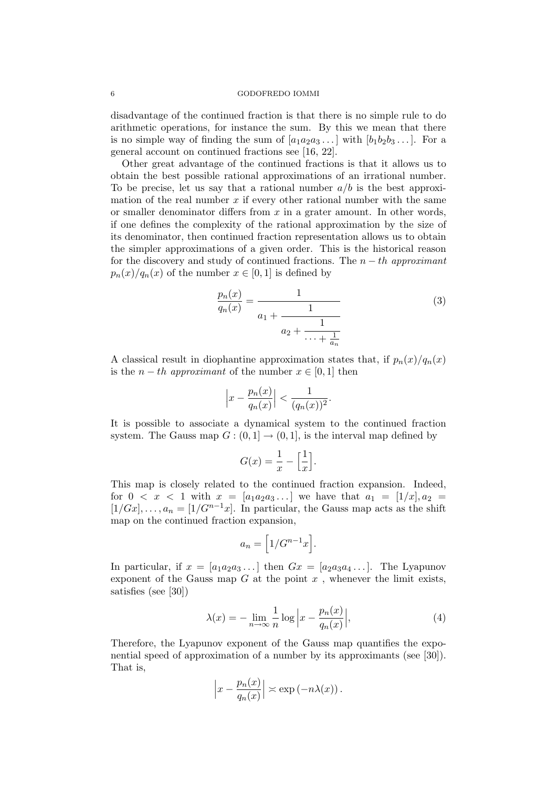disadvantage of the continued fraction is that there is no simple rule to do arithmetic operations, for instance the sum. By this we mean that there is no simple way of finding the sum of  $[a_1a_2a_3 \ldots]$  with  $[b_1b_2b_3 \ldots]$ . For a general account on continued fractions see [16, 22].

Other great advantage of the continued fractions is that it allows us to obtain the best possible rational approximations of an irrational number. To be precise, let us say that a rational number  $a/b$  is the best approximation of the real number  $x$  if every other rational number with the same or smaller denominator differs from  $x$  in a grater amount. In other words, if one defines the complexity of the rational approximation by the size of its denominator, then continued fraction representation allows us to obtain the simpler approximations of a given order. This is the historical reason for the discovery and study of continued fractions. The  $n - th$  approximant  $p_n(x)/q_n(x)$  of the number  $x \in [0,1]$  is defined by

$$
\frac{p_n(x)}{q_n(x)} = \frac{1}{a_1 + \frac{1}{\cdots + \frac{1}{a_n}}}
$$
(3)

A classical result in diophantine approximation states that, if  $p_n(x)/q_n(x)$ is the  $n - th$  approximant of the number  $x \in [0, 1]$  then

$$
\left|x - \frac{p_n(x)}{q_n(x)}\right| < \frac{1}{(q_n(x))^2}.
$$

It is possible to associate a dynamical system to the continued fraction system. The Gauss map  $G:(0,1] \rightarrow (0,1]$ , is the interval map defined by

$$
G(x) = \frac{1}{x} - \left[\frac{1}{x}\right].
$$

This map is closely related to the continued fraction expansion. Indeed, for  $0 < x < 1$  with  $x = [a_1 a_2 a_3 ...]$  we have that  $a_1 = [1/x], a_2 =$  $[1/Gx], \ldots, a_n = [1/G^{n-1}x]$ . In particular, the Gauss map acts as the shift map on the continued fraction expansion,

$$
a_n = \Big[1/G^{n-1}x\Big].
$$

In particular, if  $x = [a_1a_2a_3 \dots]$  then  $Gx = [a_2a_3a_4 \dots]$ . The Lyapunov exponent of the Gauss map  $G$  at the point  $x$ , whenever the limit exists, satisfies (see [30])

$$
\lambda(x) = -\lim_{n \to \infty} \frac{1}{n} \log \left| x - \frac{p_n(x)}{q_n(x)} \right|,\tag{4}
$$

Therefore, the Lyapunov exponent of the Gauss map quantifies the exponential speed of approximation of a number by its approximants (see [30]). That is,

$$
\left| x - \frac{p_n(x)}{q_n(x)} \right| \asymp \exp(-n\lambda(x)).
$$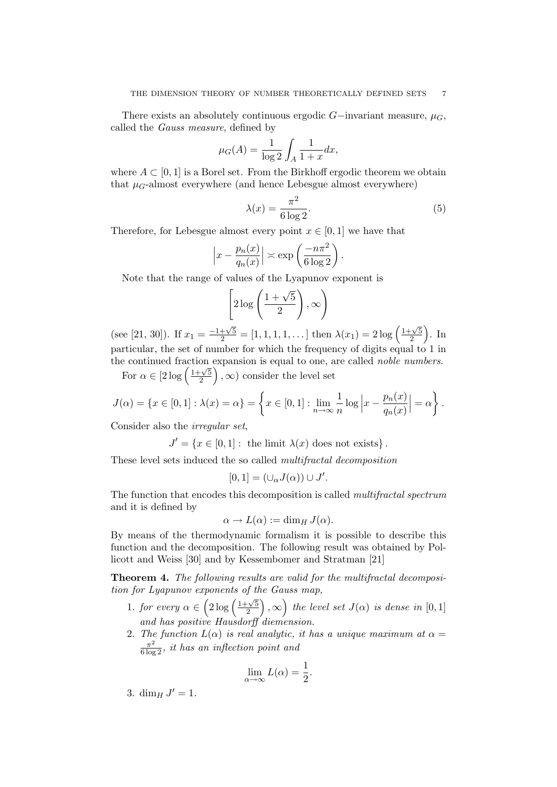There exists an absolutely continuous ergodic  $G$ −invariant measure,  $\mu_G$ , called the Gauss measure, defined by

$$
\mu_G(A) = \frac{1}{\log 2} \int_A \frac{1}{1+x} dx,
$$

where  $A \subset [0, 1]$  is a Borel set. From the Birkhoff ergodic theorem we obtain that  $\mu_G$ -almost everywhere (and hence Lebesgue almost everywhere)

$$
\lambda(x) = \frac{\pi^2}{6 \log 2}.\tag{5}
$$

.

Therefore, for Lebesgue almost every point  $x \in [0, 1]$  we have that

$$
\left| x - \frac{p_n(x)}{q_n(x)} \right| \asymp \exp\left(\frac{-n\pi^2}{6\log 2}\right)
$$

Note that the range of values of the Lyapunov exponent is

$$
\left[2\log\left(\frac{1+\sqrt{5}}{2}\right),\infty\right)
$$

(see [21, 30]). If  $x_1 = \frac{-1+\sqrt{5}}{2} = [1, 1, 1, 1, \dots]$  then  $\lambda(x_1) = 2 \log \left( \frac{1+\sqrt{5}}{2} \right)$ 2  $\ln$ particular, the set of number for which the frequency of digits equal to 1 in the continued fraction expansion is equal to one, are called noble numbers.

For  $\alpha \in \left[2 \log \left( \frac{1+\sqrt{5}}{2} \right) \right]$ 2  $(x, \infty)$  consider the level set

$$
J(\alpha) = \{x \in [0,1] : \lambda(x) = \alpha\} = \left\{x \in [0,1] : \lim_{n \to \infty} \frac{1}{n} \log \left| x - \frac{p_n(x)}{q_n(x)} \right| = \alpha\right\}.
$$

Consider also the irregular set,

 $J' = \{x \in [0, 1]: \text{ the limit } \lambda(x) \text{ does not exists}\}.$ 

These level sets induced the so called multifractal decomposition

$$
[0,1]=(\cup_{\alpha}J(\alpha))\cup J'.
$$

The function that encodes this decomposition is called multifractal spectrum and it is defined by

$$
\alpha \to L(\alpha) := \dim_H J(\alpha).
$$

By means of the thermodynamic formalism it is possible to describe this function and the decomposition. The following result was obtained by Pollicott and Weiss [30] and by Kessembomer and Stratman [21]

Theorem 4. The following results are valid for the multifractal decomposition for Lyapunov exponents of the Gauss map,

- 1. for every  $\alpha \in \left(2 \log \left( \frac{1+\sqrt{5}}{2}\right)\right)$ 2  $\Big),\infty\Big)$  the level set  $J(\alpha)$  is dense in  $[0,1]$ and has positive Hausdorff diemension.
- 2. The function  $L(\alpha)$  is real analytic, it has a unique maximum at  $\alpha =$  $\frac{\pi^2}{6\log 2}$ , it has an inflection point and

$$
\lim_{\alpha \to \infty} L(\alpha) = \frac{1}{2}.
$$

3. dim<sub>H</sub>  $J' = 1$ .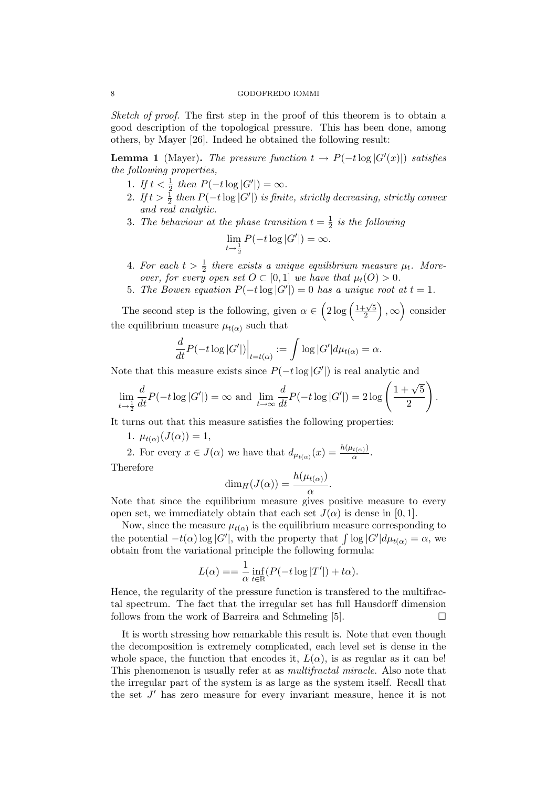Sketch of proof. The first step in the proof of this theorem is to obtain a good description of the topological pressure. This has been done, among others, by Mayer [26]. Indeed he obtained the following result:

**Lemma 1** (Mayer). The pressure function  $t \to P(-t \log |G'(x)|)$  satisfies the following properties,

- 1. If  $t < \frac{1}{2}$  then  $P(-t \log |G'|) = \infty$ .
- 2. If  $t > \frac{1}{2}$  then  $P(-t \log |G'|)$  is finite, strictly decreasing, strictly convex and real analytic.
- 3. The behaviour at the phase transition  $t = \frac{1}{2}$  is the following

$$
\lim_{t \to \frac{1}{2}} P(-t \log |G'|) = \infty.
$$

- 4. For each  $t > \frac{1}{2}$  there exists a unique equilibrium measure  $\mu_t$ . Moreover, for every open set  $O \subset [0,1]$  we have that  $\mu_t(O) > 0$ .
- 5. The Bowen equation  $P(-t \log |G'|) = 0$  has a unique root at  $t = 1$ .

The second step is the following, given  $\alpha \in \left(2 \log \left( \frac{1+\sqrt{5}}{2} \right) \right)$ 2  $(a), \infty$  consider the equilibrium measure  $\mu_{t(\alpha)}$  such that

$$
\frac{d}{dt}P(-t\log|G'|)\Big|_{t=t(\alpha)} := \int \log|G'|d\mu_{t(\alpha)} = \alpha.
$$

Note that this measure exists since  $P(-t \log |G'|)$  is real analytic and

$$
\lim_{t \to \frac{1}{2}} \frac{d}{dt} P(-t \log |G'|) = \infty \text{ and } \lim_{t \to \infty} \frac{d}{dt} P(-t \log |G'|) = 2 \log \left( \frac{1 + \sqrt{5}}{2} \right)
$$

.

It turns out that this measure satisfies the following properties:

- 1.  $\mu_{t(\alpha)}(J(\alpha)) = 1$ ,
- 2. For every  $x \in J(\alpha)$  we have that  $d_{\mu_{t(\alpha)}}(x) = \frac{h(\mu_{t(\alpha)})}{\alpha}$ .

Therefore

$$
\dim_H(J(\alpha))=\frac{h(\mu_{t(\alpha)})}{\alpha}.
$$

Note that since the equilibrium measure gives positive measure to every open set, we immediately obtain that each set  $J(\alpha)$  is dense in [0, 1].

Now, since the measure  $\mu_{t(\alpha)}$  is the equilibrium measure corresponding to the potential  $-t(\alpha) \log |G'|$ , with the property that  $\int \log |G'| d\mu_{t(\alpha)} = \alpha$ , we obtain from the variational principle the following formula:

$$
L(\alpha) = \frac{1}{\alpha} \inf_{t \in \mathbb{R}} (P(-t \log |T'|) + t\alpha).
$$

Hence, the regularity of the pressure function is transfered to the multifractal spectrum. The fact that the irregular set has full Hausdorff dimension follows from the work of Barreira and Schmeling  $[5]$ .

It is worth stressing how remarkable this result is. Note that even though the decomposition is extremely complicated, each level set is dense in the whole space, the function that encodes it,  $L(\alpha)$ , is as regular as it can be! This phenomenon is usually refer at as multifractal miracle. Also note that the irregular part of the system is as large as the system itself. Recall that the set  $J'$  has zero measure for every invariant measure, hence it is not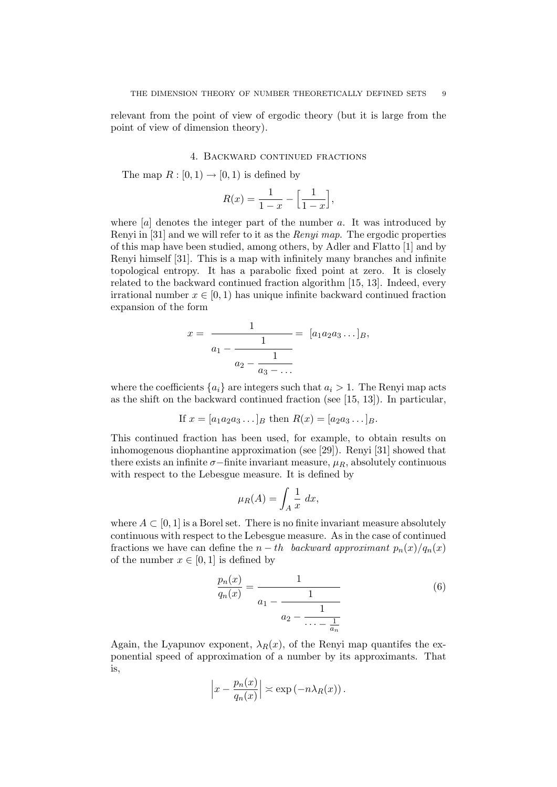relevant from the point of view of ergodic theory (but it is large from the point of view of dimension theory).

### 4. BACKWARD CONTINUED FRACTIONS

The map  $R : [0, 1) \rightarrow [0, 1)$  is defined by

$$
R(x) = \frac{1}{1-x} - \left[\frac{1}{1-x}\right],
$$

where  $[a]$  denotes the integer part of the number a. It was introduced by Renyi in [31] and we will refer to it as the Renyi map. The ergodic properties of this map have been studied, among others, by Adler and Flatto [1] and by Renyi himself [31]. This is a map with infinitely many branches and infinite topological entropy. It has a parabolic fixed point at zero. It is closely related to the backward continued fraction algorithm [15, 13]. Indeed, every irrational number  $x \in [0, 1)$  has unique infinite backward continued fraction expansion of the form

$$
x = \frac{1}{a_1 - \frac{1}{a_2 - \frac{1}{a_3 - \dots}}} = [a_1 a_2 a_3 \dots]_B,
$$

where the coefficients  ${a_i}$  are integers such that  $a_i > 1$ . The Renyi map acts as the shift on the backward continued fraction (see [15, 13]). In particular,

If 
$$
x = [a_1 a_2 a_3 \dots]_B
$$
 then  $R(x) = [a_2 a_3 \dots]_B$ .

This continued fraction has been used, for example, to obtain results on inhomogenous diophantine approximation (see [29]). Renyi [31] showed that there exists an infinite  $\sigma$ −finite invariant measure,  $\mu_R$ , absolutely continuous with respect to the Lebesgue measure. It is defined by

$$
\mu_R(A) = \int_A \frac{1}{x} \, dx,
$$

where  $A \subset [0, 1]$  is a Borel set. There is no finite invariant measure absolutely continuous with respect to the Lebesgue measure. As in the case of continued fractions we have can define the  $n-th$  backward approximant  $p_n(x)/q_n(x)$ of the number  $x \in [0, 1]$  is defined by

$$
\frac{p_n(x)}{q_n(x)} = \frac{1}{a_1 - \frac{1}{a_2 - \frac{1}{\cdots - \frac{1}{a_n}}}}
$$
(6)

Again, the Lyapunov exponent,  $\lambda_R(x)$ , of the Renyi map quantifes the exponential speed of approximation of a number by its approximants. That is,

$$
\left| x - \frac{p_n(x)}{q_n(x)} \right| \asymp \exp(-n\lambda_R(x)).
$$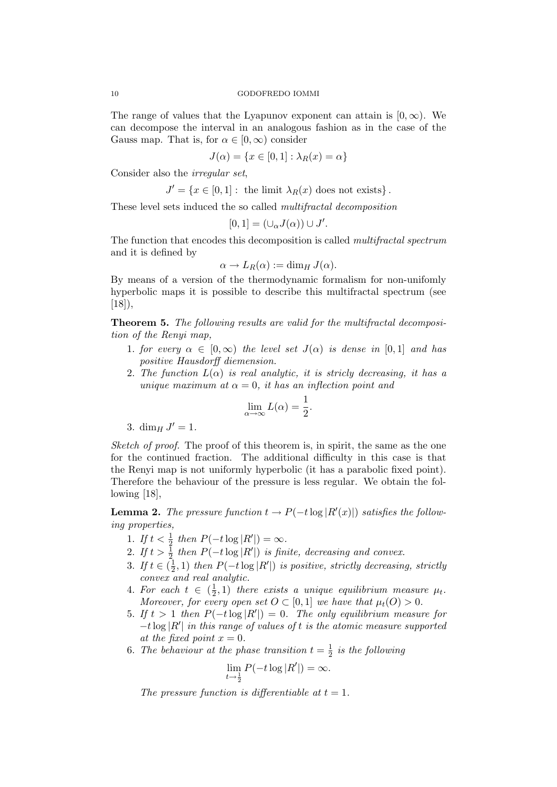The range of values that the Lyapunov exponent can attain is  $[0, \infty)$ . We can decompose the interval in an analogous fashion as in the case of the Gauss map. That is, for  $\alpha \in [0,\infty)$  consider

$$
J(\alpha) = \{x \in [0,1] : \lambda_R(x) = \alpha\}
$$

Consider also the irregular set,

 $J' = \{x \in [0,1]:$  the limit  $\lambda_R(x)$  does not exists.

These level sets induced the so called multifractal decomposition

$$
[0,1]=(\cup_{\alpha}J(\alpha))\cup J'.
$$

The function that encodes this decomposition is called multifractal spectrum and it is defined by

$$
\alpha \to L_R(\alpha) := \dim_H J(\alpha).
$$

By means of a version of the thermodynamic formalism for non-unifomly hyperbolic maps it is possible to describe this multifractal spectrum (see [18]),

Theorem 5. The following results are valid for the multifractal decomposition of the Renyi map,

- 1. for every  $\alpha \in [0,\infty)$  the level set  $J(\alpha)$  is dense in [0,1] and has positive Hausdorff diemension.
- 2. The function  $L(\alpha)$  is real analytic, it is stricly decreasing, it has a unique maximum at  $\alpha = 0$ , it has an inflection point and

$$
\lim_{\alpha \to \infty} L(\alpha) = \frac{1}{2}.
$$

3. dim<sub>H</sub>  $J' = 1$ .

Sketch of proof. The proof of this theorem is, in spirit, the same as the one for the continued fraction. The additional difficulty in this case is that the Renyi map is not uniformly hyperbolic (it has a parabolic fixed point). Therefore the behaviour of the pressure is less regular. We obtain the following [18],

**Lemma 2.** The pressure function  $t \to P(-t \log |R'(x)|)$  satisfies the following properties,

- 1. If  $t < \frac{1}{2}$  then  $P(-t \log |R'|) = \infty$ .
- 2. If  $t > \frac{1}{2}$  then  $P(-t \log |R'|)$  is finite, decreasing and convex.
- 3. If  $t \in (\frac{1}{2}, 1)$  then  $P(-t \log |R'|)$  is positive, strictly decreasing, strictly convex and real analytic.
- 4. For each  $t \in (\frac{1}{2}, 1)$  there exists a unique equilibrium measure  $\mu_t$ . Moreover, for every open set  $O \subset [0,1]$  we have that  $\mu_t(O) > 0$ .
- 5. If  $t > 1$  then  $P(-t \log |R'|) = 0$ . The only equilibrium measure for  $-t \log |R'|$  in this range of values of t is the atomic measure supported at the fixed point  $x = 0$ .
- 6. The behaviour at the phase transition  $t = \frac{1}{2}$  is the following

$$
\lim_{t \to \frac{1}{2}} P(-t \log |R'|) = \infty.
$$

The pressure function is differentiable at  $t = 1$ .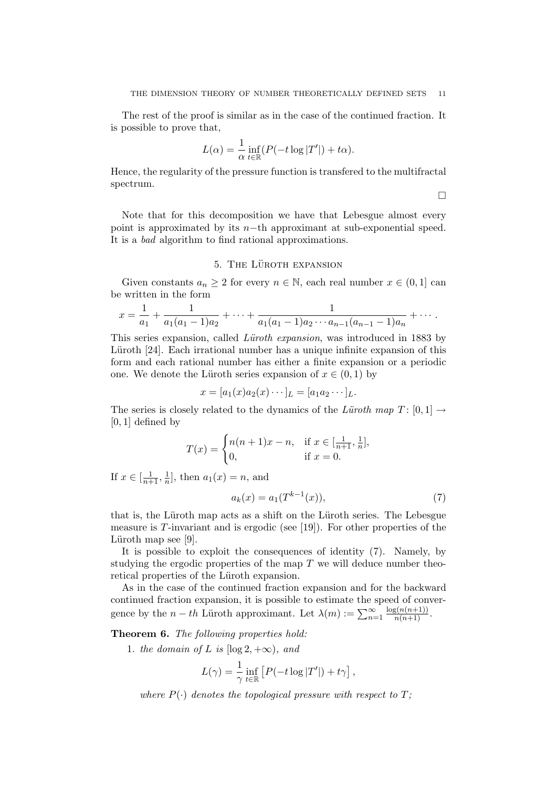The rest of the proof is similar as in the case of the continued fraction. It is possible to prove that,

$$
L(\alpha) = \frac{1}{\alpha} \inf_{t \in \mathbb{R}} (P(-t \log |T'|) + t\alpha).
$$

Hence, the regularity of the pressure function is transfered to the multifractal spectrum.

 $\Box$ 

Note that for this decomposition we have that Lebesgue almost every point is approximated by its  $n$ –th approximant at sub-exponential speed. It is a bad algorithm to find rational approximations.

# 5. THE LÜROTH EXPANSION

Given constants  $a_n \geq 2$  for every  $n \in \mathbb{N}$ , each real number  $x \in (0,1]$  can be written in the form

$$
x = \frac{1}{a_1} + \frac{1}{a_1(a_1 - 1)a_2} + \cdots + \frac{1}{a_1(a_1 - 1)a_2 \cdots a_{n-1}(a_{n-1} - 1)a_n} + \cdots
$$

This series expansion, called *Lüroth expansion*, was introduced in 1883 by Lüroth [24]. Each irrational number has a unique infinite expansion of this form and each rational number has either a finite expansion or a periodic one. We denote the Lüroth series expansion of  $x \in (0, 1)$  by

$$
x=[a_1(x)a_2(x)\cdots]_L=[a_1a_2\cdots]_L.
$$

The series is closely related to the dynamics of the Lüroth map  $T: [0, 1] \rightarrow$  $[0, 1]$  defined by

$$
T(x) = \begin{cases} n(n+1)x - n, & \text{if } x \in [\frac{1}{n+1}, \frac{1}{n}], \\ 0, & \text{if } x = 0. \end{cases}
$$

If  $x \in [\frac{1}{n+1}, \frac{1}{n}]$ , then  $a_1(x) = n$ , and

$$
a_k(x) = a_1(T^{k-1}(x)),
$$
\n(7)

that is, the Lüroth map acts as a shift on the Lüroth series. The Lebesgue measure is  $T$ -invariant and is ergodic (see [19]). For other properties of the Lüroth map see [9].

It is possible to exploit the consequences of identity (7). Namely, by studying the ergodic properties of the map  $T$  we will deduce number theoretical properties of the Lüroth expansion.

As in the case of the continued fraction expansion and for the backward continued fraction expansion, it is possible to estimate the speed of convergence by the  $n-th$  Lüroth approximant. Let  $\lambda(m) := \sum_{n=1}^{\infty}$  $\frac{\log(n(n+1))}{n(n+1)}$ .

# Theorem 6. The following properties hold:

1. the domain of L is  $[\log 2, +\infty)$ , and

$$
L(\gamma) = \frac{1}{\gamma} \inf_{t \in \mathbb{R}} [P(-t \log |T'|) + t\gamma],
$$

where  $P(\cdot)$  denotes the topological pressure with respect to T;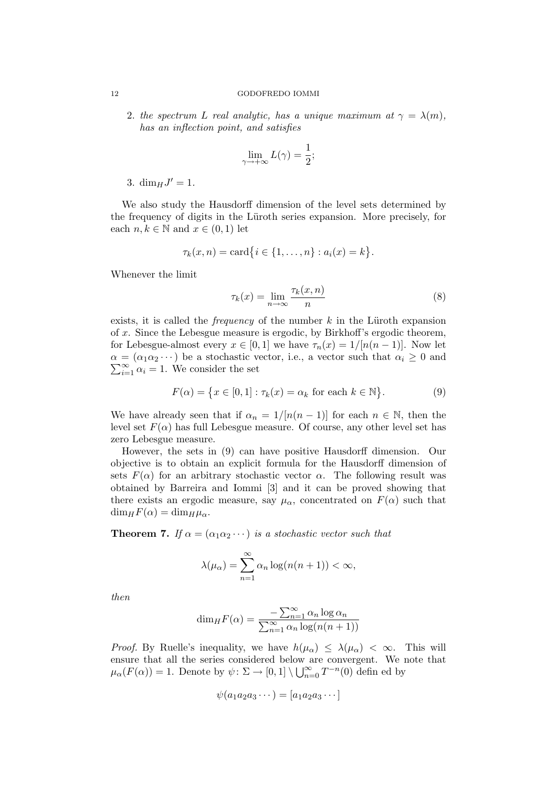2. the spectrum L real analytic, has a unique maximum at  $\gamma = \lambda(m)$ , has an inflection point, and satisfies

$$
\lim_{\gamma \to +\infty} L(\gamma) = \frac{1}{2};
$$

3.  $\dim_H J' = 1$ .

We also study the Hausdorff dimension of the level sets determined by the frequency of digits in the Lüroth series expansion. More precisely, for each  $n, k \in \mathbb{N}$  and  $x \in (0, 1)$  let

$$
\tau_k(x, n) = \text{card}\{i \in \{1, ..., n\} : a_i(x) = k\}.
$$

Whenever the limit

$$
\tau_k(x) = \lim_{n \to \infty} \frac{\tau_k(x, n)}{n} \tag{8}
$$

exists, it is called the *frequency* of the number  $k$  in the Lüroth expansion of x. Since the Lebesgue measure is ergodic, by Birkhoff's ergodic theorem, for Lebesgue-almost every  $x \in [0, 1]$  we have  $\tau_n(x) = 1/[n(n-1)]$ . Now let  $\alpha = (\alpha_1 \alpha_2 \cdots)$  be a stochastic vector, i.e., a vector such that  $\alpha_i \geq 0$  and  $\sum_{i=1}^{\infty} \alpha_i = 1$ . We consider the set  $\sum_{i=1}^{\infty} \alpha_i = 1$ . We consider the set

$$
F(\alpha) = \{x \in [0, 1] : \tau_k(x) = \alpha_k \text{ for each } k \in \mathbb{N}\}.
$$
 (9)

We have already seen that if  $\alpha_n = 1/[n(n-1)]$  for each  $n \in \mathbb{N}$ , then the level set  $F(\alpha)$  has full Lebesgue measure. Of course, any other level set has zero Lebesgue measure.

However, the sets in (9) can have positive Hausdorff dimension. Our objective is to obtain an explicit formula for the Hausdorff dimension of sets  $F(\alpha)$  for an arbitrary stochastic vector  $\alpha$ . The following result was obtained by Barreira and Iommi [3] and it can be proved showing that there exists an ergodic measure, say  $\mu_{\alpha}$ , concentrated on  $F(\alpha)$  such that  $\dim_H F(\alpha) = \dim_H \mu_\alpha.$ 

**Theorem 7.** If  $\alpha = (\alpha_1 \alpha_2 \cdots)$  is a stochastic vector such that

$$
\lambda(\mu_{\alpha}) = \sum_{n=1}^{\infty} \alpha_n \log(n(n+1)) < \infty,
$$

then

$$
\dim_H F(\alpha) = \frac{-\sum_{n=1}^{\infty} \alpha_n \log \alpha_n}{\sum_{n=1}^{\infty} \alpha_n \log(n(n+1))}
$$

*Proof.* By Ruelle's inequality, we have  $h(\mu_{\alpha}) \leq \lambda(\mu_{\alpha}) < \infty$ . This will ensure that all the series considered below are convergent. We note that  $\mu_{\alpha}(F(\alpha)) = 1$ . Denote by  $\psi \colon \Sigma \to [0, 1] \setminus \bigcup_{n=0}^{\infty} T^{-n}(0)$  defin ed by

$$
\psi(a_1a_2a_3\cdots)=[a_1a_2a_3\cdots]
$$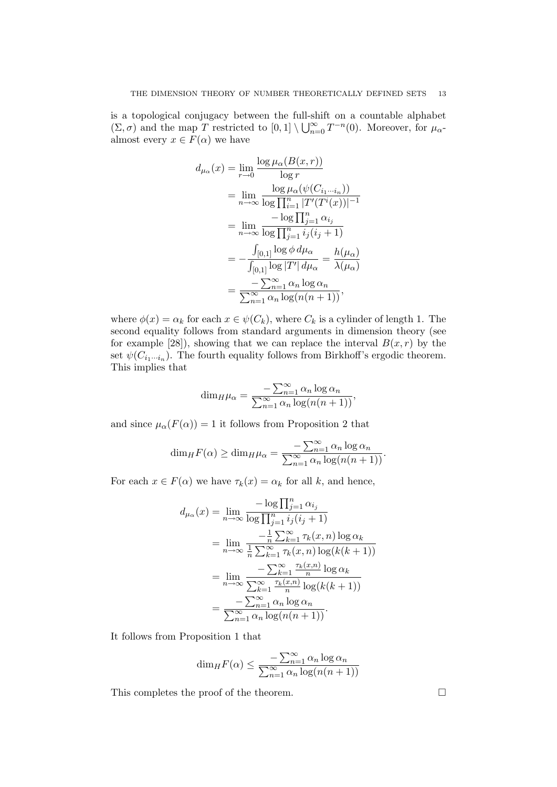is a topological conjugacy between the full-shift on a countable alphabet  $(\Sigma, \sigma)$  and the map T restricted to  $[0,1] \setminus \bigcup_{n=0}^{\infty} T^{-n}(0)$ . Moreover, for  $\mu_{\alpha}$ almost every  $x \in F(\alpha)$  we have

$$
d_{\mu_{\alpha}}(x) = \lim_{r \to 0} \frac{\log \mu_{\alpha}(B(x, r))}{\log r}
$$
  
\n
$$
= \lim_{n \to \infty} \frac{\log \mu_{\alpha}(\psi(C_{i_1 \cdots i_n}))}{\log \prod_{i=1}^n |T'(T^i(x))|^{-1}}
$$
  
\n
$$
= \lim_{n \to \infty} \frac{-\log \prod_{j=1}^n \alpha_{i_j}}{\log \prod_{j=1}^n i_j (i_j + 1)}
$$
  
\n
$$
= -\frac{\int_{[0,1]} \log \phi \, d\mu_{\alpha}}{\int_{[0,1]} \log |T'| \, d\mu_{\alpha}} = \frac{h(\mu_{\alpha})}{\lambda(\mu_{\alpha})}
$$
  
\n
$$
= \frac{-\sum_{n=1}^\infty \alpha_n \log \alpha_n}{\sum_{n=1}^\infty \alpha_n \log (n(n+1))},
$$

where  $\phi(x) = \alpha_k$  for each  $x \in \psi(C_k)$ , where  $C_k$  is a cylinder of length 1. The second equality follows from standard arguments in dimension theory (see for example [28]), showing that we can replace the interval  $B(x, r)$  by the set  $\psi(C_{i_1\cdots i_n})$ . The fourth equality follows from Birkhoff's ergodic theorem. This implies that

$$
\dim_H \mu_\alpha = \frac{-\sum_{n=1}^{\infty} \alpha_n \log \alpha_n}{\sum_{n=1}^{\infty} \alpha_n \log(n(n+1))},
$$

and since  $\mu_{\alpha}(F(\alpha)) = 1$  it follows from Proposition 2 that

$$
\dim_H F(\alpha) \ge \dim_H \mu_\alpha = \frac{-\sum_{n=1}^{\infty} \alpha_n \log \alpha_n}{\sum_{n=1}^{\infty} \alpha_n \log (n(n+1))}.
$$

For each  $x \in F(\alpha)$  we have  $\tau_k(x) = \alpha_k$  for all k, and hence,

$$
d_{\mu_{\alpha}}(x) = \lim_{n \to \infty} \frac{-\log \prod_{j=1}^{n} \alpha_{i_j}}{\log \prod_{j=1}^{n} i_j (i_j + 1)}
$$
  
\n
$$
= \lim_{n \to \infty} \frac{-\frac{1}{n} \sum_{k=1}^{\infty} \tau_k(x, n) \log \alpha_k}{\frac{1}{n} \sum_{k=1}^{\infty} \tau_k(x, n) \log(k(k+1))}
$$
  
\n
$$
= \lim_{n \to \infty} \frac{-\sum_{k=1}^{\infty} \frac{\tau_k(x, n)}{n} \log \alpha_k}{\sum_{k=1}^{\infty} \frac{\tau_k(x, n)}{n} \log(k(k+1))}
$$
  
\n
$$
= \frac{-\sum_{n=1}^{\infty} \alpha_n \log \alpha_n}{\sum_{n=1}^{\infty} \alpha_n \log(n(n+1))}.
$$

It follows from Proposition 1 that

$$
\dim_{H} F(\alpha) \leq \frac{-\sum_{n=1}^{\infty} \alpha_{n} \log \alpha_{n}}{\sum_{n=1}^{\infty} \alpha_{n} \log(n(n+1))}
$$

This completes the proof of the theorem.  $\Box$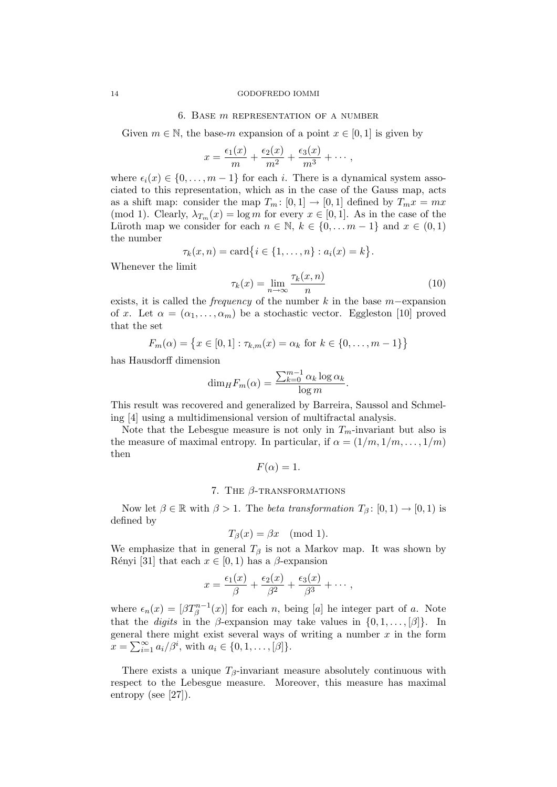## 6. Base m representation of a number

Given  $m \in \mathbb{N}$ , the base-m expansion of a point  $x \in [0, 1]$  is given by

$$
x = \frac{\epsilon_1(x)}{m} + \frac{\epsilon_2(x)}{m^2} + \frac{\epsilon_3(x)}{m^3} + \cdots,
$$

where  $\epsilon_i(x) \in \{0, \ldots, m-1\}$  for each i. There is a dynamical system associated to this representation, which as in the case of the Gauss map, acts as a shift map: consider the map  $T_m: [0, 1] \rightarrow [0, 1]$  defined by  $T_m x = mx$ (mod 1). Clearly,  $\lambda_{T_m}(x) = \log m$  for every  $x \in [0,1]$ . As in the case of the Lüroth map we consider for each  $n \in \mathbb{N}$ ,  $k \in \{0, ..., m-1\}$  and  $x \in (0, 1)$ the number

$$
\tau_k(x, n) = \text{card}\{i \in \{1, ..., n\} : a_i(x) = k\}.
$$

Whenever the limit

$$
\tau_k(x) = \lim_{n \to \infty} \frac{\tau_k(x, n)}{n} \tag{10}
$$

exists, it is called the *frequency* of the number k in the base  $m$ –expansion of x. Let  $\alpha = (\alpha_1, \ldots, \alpha_m)$  be a stochastic vector. Eggleston [10] proved that the set

$$
F_m(\alpha) = \{ x \in [0,1] : \tau_{k,m}(x) = \alpha_k \text{ for } k \in \{0, \dots, m-1\} \}
$$

has Hausdorff dimension

$$
\dim_H F_m(\alpha) = \frac{\sum_{k=0}^{m-1} \alpha_k \log \alpha_k}{\log m}.
$$

This result was recovered and generalized by Barreira, Saussol and Schmeling [4] using a multidimensional version of multifractal analysis.

Note that the Lebesgue measure is not only in  $T_m$ -invariant but also is the measure of maximal entropy. In particular, if  $\alpha = (1/m, 1/m, \ldots, 1/m)$ then

 $F(\alpha)=1.$ 

# 7. THE  $\beta$ -TRANSFORMATIONS

Now let  $\beta \in \mathbb{R}$  with  $\beta > 1$ . The beta transformation  $T_{\beta} : [0, 1) \rightarrow [0, 1)$  is defined by

$$
T_{\beta}(x) = \beta x \pmod{1}.
$$

We emphasize that in general  $T_\beta$  is not a Markov map. It was shown by Rényi [31] that each  $x \in [0, 1)$  has a  $\beta$ -expansion

$$
x = \frac{\epsilon_1(x)}{\beta} + \frac{\epsilon_2(x)}{\beta^2} + \frac{\epsilon_3(x)}{\beta^3} + \cdots,
$$

where  $\epsilon_n(x) = [\beta T_\beta^{n-1}(x)]$  for each n, being [a] he integer part of a. Note that the *digits* in the  $\beta$ -expansion may take values in  $\{0, 1, \ldots, \beta\}$ . In general there might exist several ways of writing a number  $x$  in the form  $x = \sum_{i=1}^{\infty} a_i / \beta^i$ , with  $a_i \in \{0, 1, ..., [\beta]\}.$ 

There exists a unique  $T_{\beta}$ -invariant measure absolutely continuous with respect to the Lebesgue measure. Moreover, this measure has maximal entropy (see [27]).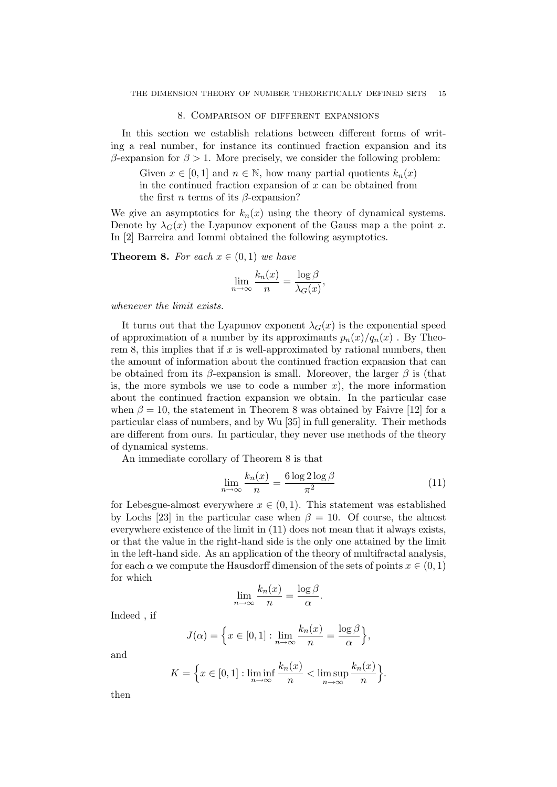# 8. Comparison of different expansions

In this section we establish relations between different forms of writing a real number, for instance its continued fraction expansion and its  $β$ -expansion for  $β > 1$ . More precisely, we consider the following problem:

Given  $x \in [0,1]$  and  $n \in \mathbb{N}$ , how many partial quotients  $k_n(x)$ in the continued fraction expansion of  $x$  can be obtained from the first *n* terms of its  $\beta$ -expansion?

We give an asymptotics for  $k_n(x)$  using the theory of dynamical systems. Denote by  $\lambda_G(x)$  the Lyapunov exponent of the Gauss map a the point x. In [2] Barreira and Iommi obtained the following asymptotics.

**Theorem 8.** For each  $x \in (0,1)$  we have

$$
\lim_{n \to \infty} \frac{k_n(x)}{n} = \frac{\log \beta}{\lambda_G(x)},
$$

whenever the limit exists.

It turns out that the Lyapunov exponent  $\lambda_G(x)$  is the exponential speed of approximation of a number by its approximants  $p_n(x)/q_n(x)$ . By Theorem 8, this implies that if  $x$  is well-approximated by rational numbers, then the amount of information about the continued fraction expansion that can be obtained from its β-expansion is small. Moreover, the larger  $\beta$  is (that is, the more symbols we use to code a number  $x$ ), the more information about the continued fraction expansion we obtain. In the particular case when  $\beta = 10$ , the statement in Theorem 8 was obtained by Faivre [12] for a particular class of numbers, and by Wu [35] in full generality. Their methods are different from ours. In particular, they never use methods of the theory of dynamical systems.

An immediate corollary of Theorem 8 is that

$$
\lim_{n \to \infty} \frac{k_n(x)}{n} = \frac{6 \log 2 \log \beta}{\pi^2} \tag{11}
$$

for Lebesgue-almost everywhere  $x \in (0,1)$ . This statement was established by Lochs [23] in the particular case when  $\beta = 10$ . Of course, the almost everywhere existence of the limit in (11) does not mean that it always exists, or that the value in the right-hand side is the only one attained by the limit in the left-hand side. As an application of the theory of multifractal analysis, for each  $\alpha$  we compute the Hausdorff dimension of the sets of points  $x \in (0,1)$ for which

$$
\lim_{n \to \infty} \frac{k_n(x)}{n} = \frac{\log \beta}{\alpha}.
$$

Indeed , if

$$
J(\alpha) = \left\{ x \in [0, 1] : \lim_{n \to \infty} \frac{k_n(x)}{n} = \frac{\log \beta}{\alpha} \right\},\
$$

and

$$
K = \left\{ x \in [0,1] : \liminf_{n \to \infty} \frac{k_n(x)}{n} < \limsup_{n \to \infty} \frac{k_n(x)}{n} \right\}.
$$

then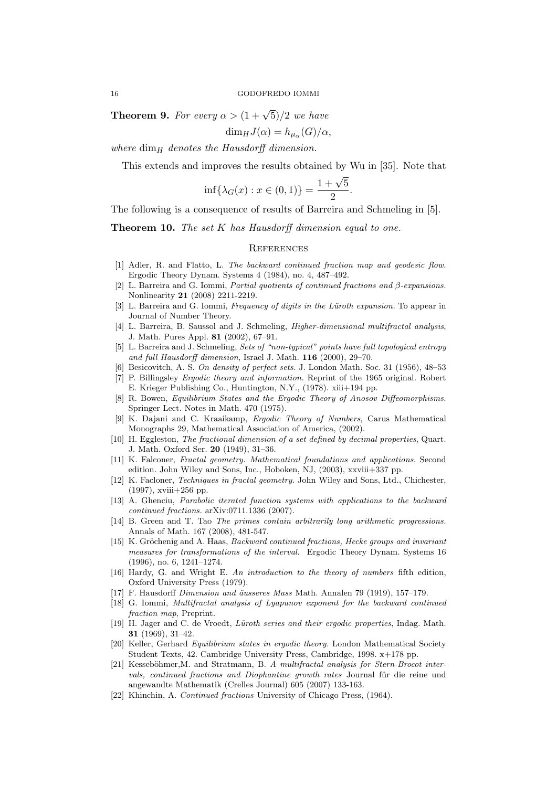**Theorem 9.** For every  $\alpha > (1 + \sqrt{5})/2$  we have

 $\dim_H J(\alpha) = h_{\mu_\alpha}(G)/\alpha,$ 

where  $\dim_H$  denotes the Hausdorff dimension.

This extends and improves the results obtained by Wu in [35]. Note that

$$
\inf \{ \lambda_G(x) : x \in (0,1) \} = \frac{1+\sqrt{5}}{2}.
$$

The following is a consequence of results of Barreira and Schmeling in [5].

Theorem 10. The set K has Hausdorff dimension equal to one.

### **REFERENCES**

- [1] Adler, R. and Flatto, L. The backward continued fraction map and geodesic flow. Ergodic Theory Dynam. Systems 4 (1984), no. 4, 487–492.
- [2] L. Barreira and G. Iommi, Partial quotients of continued fractions and β-expansions. Nonlinearity 21 (2008) 2211-2219.
- [3] L. Barreira and G. Iommi, Frequency of digits in the Lüroth expansion. To appear in Journal of Number Theory.
- [4] L. Barreira, B. Saussol and J. Schmeling, *Higher-dimensional multifractal analysis*, J. Math. Pures Appl. 81 (2002), 67–91.
- [5] L. Barreira and J. Schmeling, Sets of "non-typical" points have full topological entropy and full Hausdorff dimension, Israel J. Math. 116 (2000), 29–70.
- [6] Besicovitch, A. S. On density of perfect sets. J. London Math. Soc. 31 (1956), 48–53
- [7] P. Billingsley Ergodic theory and information. Reprint of the 1965 original. Robert E. Krieger Publishing Co., Huntington, N.Y., (1978). xiii+194 pp.
- [8] R. Bowen, Equilibrium States and the Ergodic Theory of Anosov Diffeomorphisms. Springer Lect. Notes in Math. 470 (1975).
- [9] K. Dajani and C. Kraaikamp, Ergodic Theory of Numbers, Carus Mathematical Monographs 29, Mathematical Association of America, (2002).
- [10] H. Eggleston, The fractional dimension of a set defined by decimal properties, Quart. J. Math. Oxford Ser. 20 (1949), 31–36.
- [11] K. Falconer, Fractal geometry. Mathematical foundations and applications. Second edition. John Wiley and Sons, Inc., Hoboken, NJ, (2003), xxviii+337 pp.
- [12] K. Facloner, Techniques in fractal geometry. John Wiley and Sons, Ltd., Chichester, (1997), xviii+256 pp.
- [13] A. Ghenciu, Parabolic iterated function systems with applications to the backward continued fractions. arXiv:0711.1336 (2007).
- [14] B. Green and T. Tao The primes contain arbitrarily long arithmetic progressions. Annals of Math. 167 (2008), 481-547.
- [15] K. Gröchenig and A. Haas, *Backward continued fractions*, *Hecke groups and invariant* measures for transformations of the interval. Ergodic Theory Dynam. Systems 16 (1996), no. 6, 1241–1274.
- [16] Hardy, G. and Wright E. An introduction to the theory of numbers fifth edition, Oxford University Press (1979).
- [17] F. Hausdorff Dimension and äusseres Mass Math. Annalen 79 (1919), 157–179.
- [18] G. Iommi, Multifractal analysis of Lyapunov exponent for the backward continued fraction map, Preprint.
- [19] H. Jager and C. de Vroedt, Lüroth series and their ergodic properties, Indag. Math. 31 (1969), 31–42.
- [20] Keller, Gerhard Equilibrium states in ergodic theory. London Mathematical Society Student Texts, 42. Cambridge University Press, Cambridge, 1998. x+178 pp.
- [21] Kesseböhmer, M. and Stratmann, B. A multifractal analysis for Stern-Brocot intervals, continued fractions and Diophantine growth rates Journal für die reine und angewandte Mathematik (Crelles Journal) 605 (2007) 133-163.
- [22] Khinchin, A. Continued fractions University of Chicago Press, (1964).